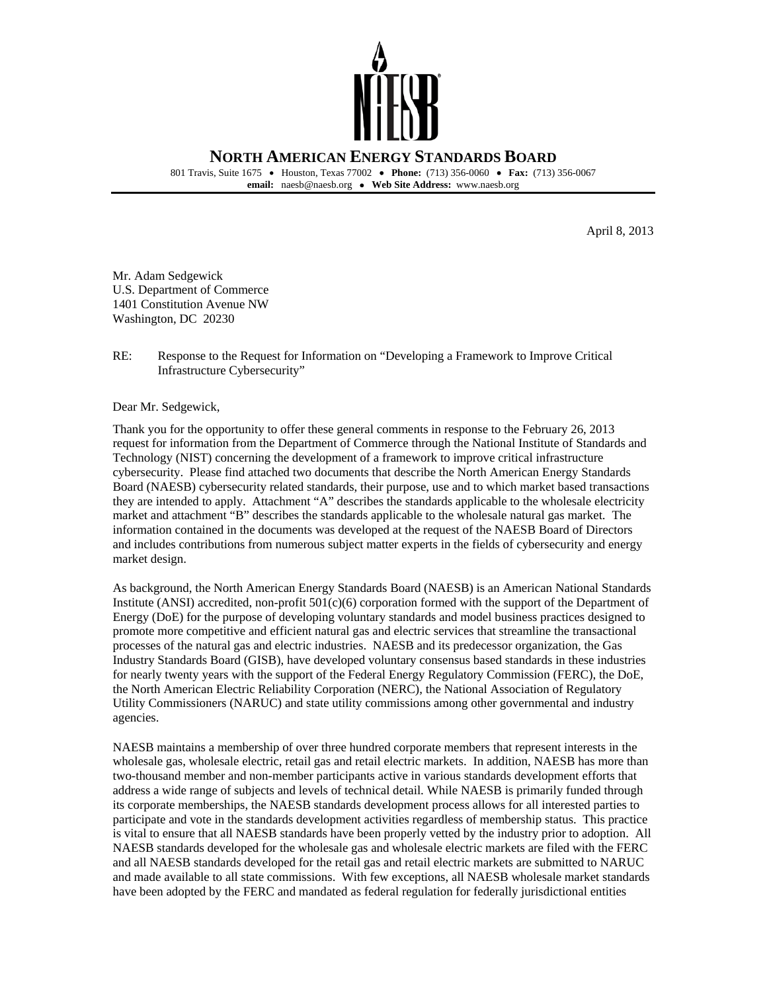

 801 Travis, Suite 1675 • Houston, Texas 77002 • **Phone:** (713) 356-0060 • **Fax:** (713) 356-0067  **email:** naesb@naesb.org • **Web Site Address:** www.naesb.org

April 8, 2013

 Washington, DC 20230 Mr. Adam Sedgewick U.S. Department of Commerce 1401 Constitution Avenue NW

 RE: Response to the Request for Information on "Developing a Framework to Improve Critical Infrastructure Cybersecurity"

Dear Mr. Sedgewick,

 Thank you for the opportunity to offer these general comments in response to the February 26, 2013 request for information from the Department of Commerce through the National Institute of Standards and Technology (NIST) concerning the development of a framework to improve critical infrastructure cybersecurity. Please find attached two documents that describe the North American Energy Standards Board (NAESB) cybersecurity related standards, their purpose, use and to which market based transactions they are intended to apply. Attachment "A" describes the standards applicable to the wholesale electricity market and attachment "B" describes the standards applicable to the wholesale natural gas market. The information contained in the documents was developed at the request of the NAESB Board of Directors and includes contributions from numerous subject matter experts in the fields of cybersecurity and energy market design.

 As background, the North American Energy Standards Board (NAESB) is an American National Standards Institute (ANSI) accredited, non-profit 501(c)(6) corporation formed with the support of the Department of Energy (DoE) for the purpose of developing voluntary standards and model business practices designed to promote more competitive and efficient natural gas and electric services that streamline the transactional processes of the natural gas and electric industries. NAESB and its predecessor organization, the Gas Industry Standards Board (GISB), have developed voluntary consensus based standards in these industries for nearly twenty years with the support of the Federal Energy Regulatory Commission (FERC), the DoE, the North American Electric Reliability Corporation (NERC), the National Association of Regulatory Utility Commissioners (NARUC) and state utility commissions among other governmental and industry agencies.

agencies.<br>NAESB maintains a membership of over three hundred corporate members that represent interests in the wholesale gas, wholesale electric, retail gas and retail electric markets. In addition, NAESB has more than two-thousand member and non-member participants active in various standards development efforts that address a wide range of subjects and levels of technical detail. While NAESB is primarily funded through its corporate memberships, the NAESB standards development process allows for all interested parties to participate and vote in the standards development activities regardless of membership status. This practice is vital to ensure that all NAESB standards have been properly vetted by the industry prior to adoption. All NAESB standards developed for the wholesale gas and wholesale electric markets are filed with the FERC and all NAESB standards developed for the retail gas and retail electric markets are submitted to NARUC and made available to all state commissions. With few exceptions, all NAESB wholesale market standards have been adopted by the FERC and mandated as federal regulation for federally jurisdictional entities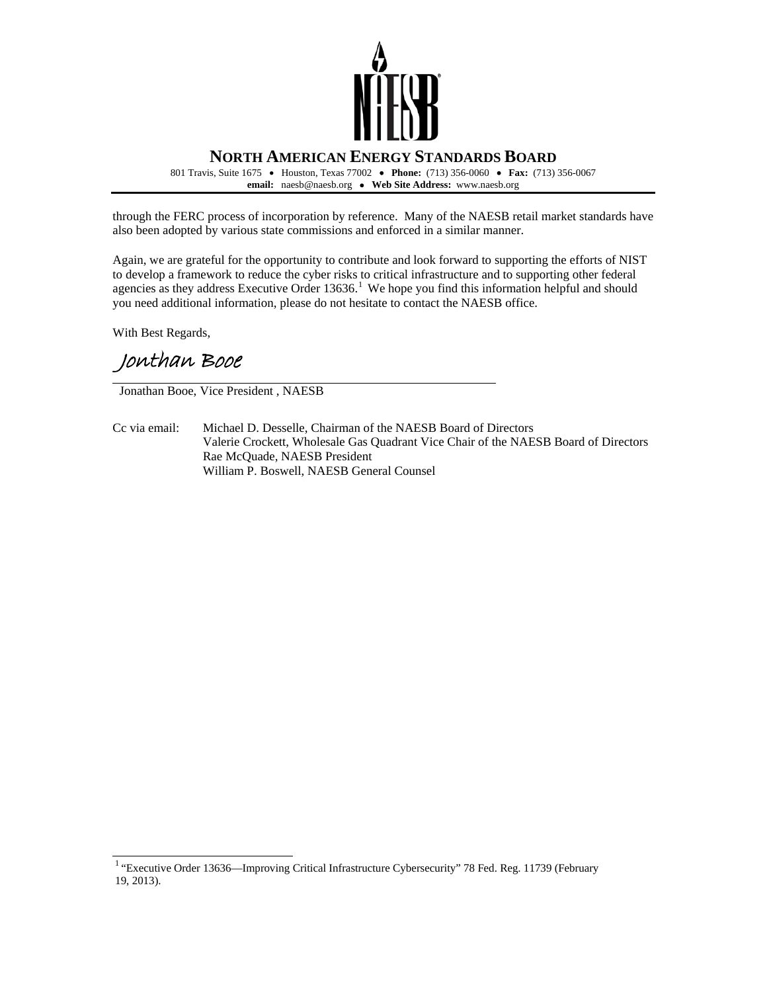

 801 Travis, Suite 1675 • Houston, Texas 77002 • **Phone:** (713) 356-0060 • **Fax:** (713) 356-0067  **email:** naesb@naesb.org • **Web Site Address:** www.naesb.org

 through the FERC process of incorporation by reference. Many of the NAESB retail market standards have also been adopted by various state commissions and enforced in a similar manner.

 Again, we are grateful for the opportunity to contribute and look forward to supporting the efforts of NIST to develop a framework to reduce the cyber risks to critical infrastructure and to supporting other federal agencies as they address Executive Order 13636.<sup>1</sup> We hope you find this information helpful and should you need additional information, please do not hesitate to contact the NAESB office.

With Best Regards,

 $\overline{a}$ 

Jonthan Booe

Jonathan Booe, Vice President , NAESB

Cc via email: Valerie Crockett, Wholesale Gas Quadrant Vice Chair of the NAESB Board of Directors Rae McQuade, NAESB President William P. Boswell, NAESB General Counsel Michael D. Desselle, Chairman of the NAESB Board of Directors

<span id="page-1-0"></span><sup>&</sup>lt;sup>1</sup> "Executive Order 13636—Improving Critical Infrastructure Cybersecurity" 78 Fed. Reg. 11739 (February 19, 2013).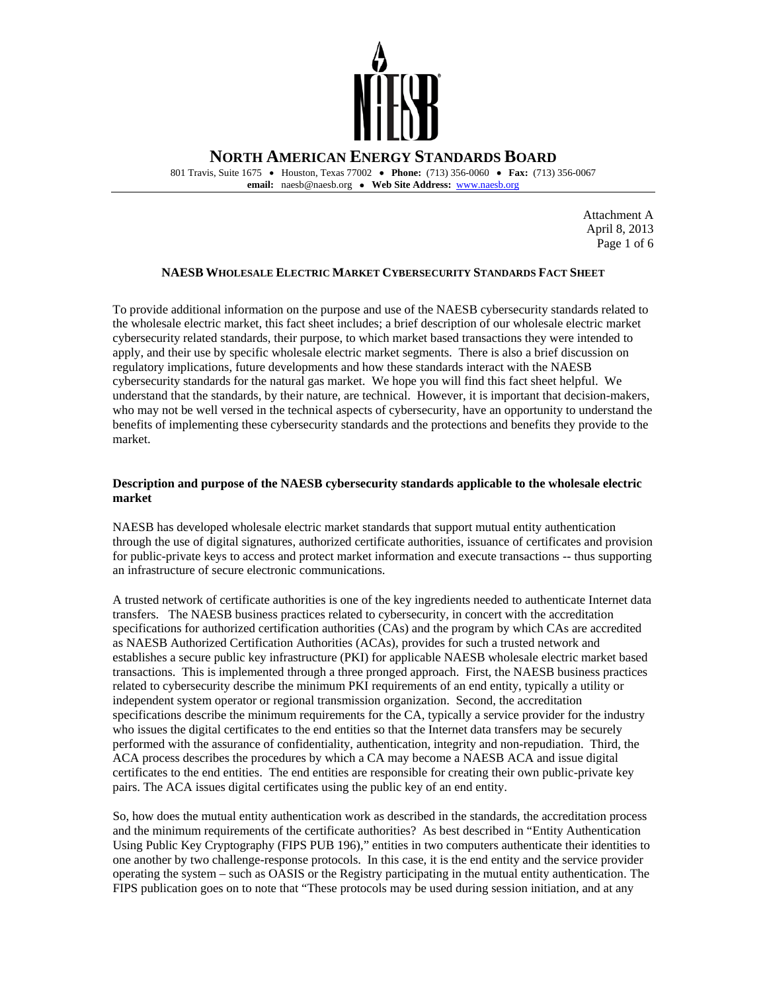

 801 Travis, Suite 1675 • Houston, Texas 77002 • **Phone:** (713) 356-0060 • **Fax:** (713) 356-0067 **email:** naesb@naesb.org • **Web Site Address:** [www.naesb.org](http://www.naesb.org/) 

> Page 1 of 6 Attachment A April 8, 2013

# **NAESB WHOLESALE ELECTRIC MARKET CYBERSECURITY STANDARDS FACT SHEET**

 To provide additional information on the purpose and use of the NAESB cybersecurity standards related to the wholesale electric market, this fact sheet includes; a brief description of our wholesale electric market cybersecurity related standards, their purpose, to which market based transactions they were intended to apply, and their use by specific wholesale electric market segments. There is also a brief discussion on regulatory implications, future developments and how these standards interact with the NAESB cybersecurity standards for the natural gas market. We hope you will find this fact sheet helpful. We understand that the standards, by their nature, are technical. However, it is important that decision-makers, who may not be well versed in the technical aspects of cybersecurity, have an opportunity to understand the benefits of implementing these cybersecurity standards and the protections and benefits they provide to the market.

### **Description and purpose of the NAESB cybersecurity standards applicable to the wholesale electric market**

 NAESB has developed wholesale electric market standards that support mutual entity authentication through the use of digital signatures, authorized certificate authorities, issuance of certificates and provision for public-private keys to access and protect market information and execute transactions -- thus supporting an infrastructure of secure electronic communications.

 A trusted network of certificate authorities is one of the key ingredients needed to authenticate Internet data transfers. The NAESB business practices related to cybersecurity, in concert with the accreditation specifications for authorized certification authorities (CAs) and the program by which CAs are accredited as NAESB Authorized Certification Authorities (ACAs), provides for such a trusted network and establishes a secure public key infrastructure (PKI) for applicable NAESB wholesale electric market based transactions. This is implemented through a three pronged approach. First, the NAESB business practices related to cybersecurity describe the minimum PKI requirements of an end entity, typically a utility or independent system operator or regional transmission organization. Second, the accreditation specifications describe the minimum requirements for the CA, typically a service provider for the industry who issues the digital certificates to the end entities so that the Internet data transfers may be securely performed with the assurance of confidentiality, authentication, integrity and non-repudiation. Third, the ACA process describes the procedures by which a CA may become a NAESB ACA and issue digital certificates to the end entities. The end entities are responsible for creating their own public-private key pairs. The ACA issues digital certificates using the public key of an end entity.

 So, how does the mutual entity authentication work as described in the standards, the accreditation process and the minimum requirements of the certificate authorities? As best described in "Entity Authentication Using Public Key Cryptography (FIPS PUB 196)," entities in two computers authenticate their identities to one another by two challenge-response protocols. In this case, it is the end entity and the service provider operating the system – such as OASIS or the Registry participating in the mutual entity authentication. The FIPS publication goes on to note that "These protocols may be used during session initiation, and at any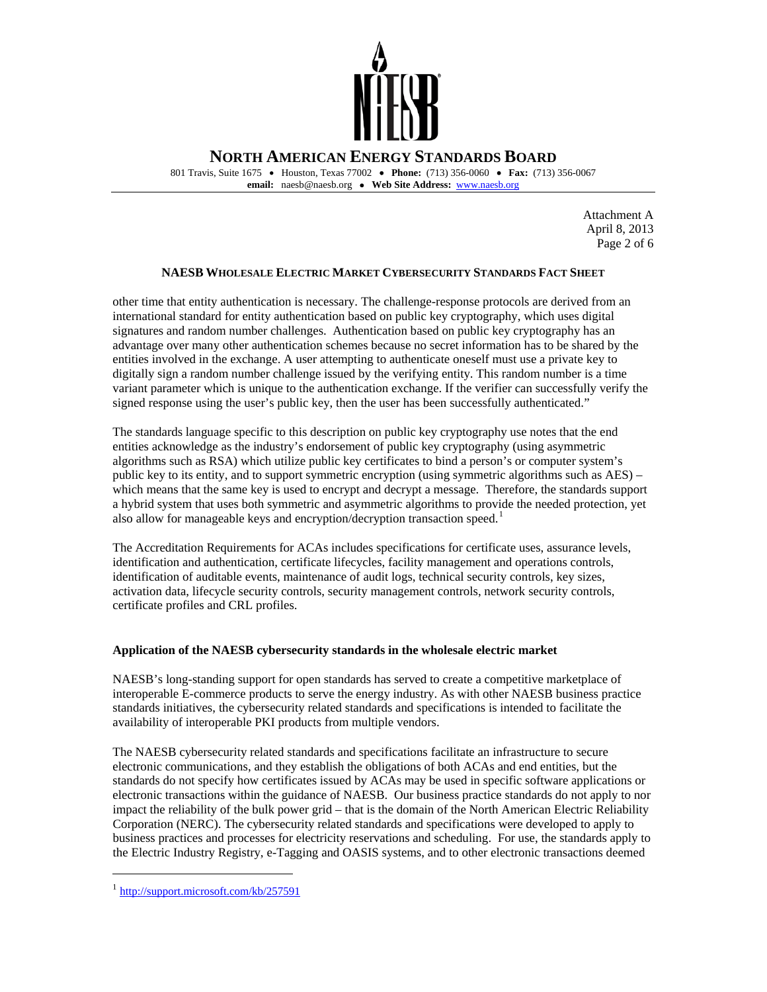

 801 Travis, Suite 1675 • Houston, Texas 77002 • **Phone:** (713) 356-0060 • **Fax:** (713) 356-0067 **email:** naesb@naesb.org • **Web Site Address:** [www.naesb.org](http://www.naesb.org/) 

> Page 2 of 6 Attachment A April 8, 2013

# **NAESB WHOLESALE ELECTRIC MARKET CYBERSECURITY STANDARDS FACT SHEET**

 other time that entity authentication is necessary. The challenge-response protocols are derived from an international standard for entity authentication based on public key cryptography, which uses digital signatures and random number challenges. Authentication based on public key cryptography has an advantage over many other authentication schemes because no secret information has to be shared by the entities involved in the exchange. A user attempting to authenticate oneself must use a private key to digitally sign a random number challenge issued by the verifying entity. This random number is a time variant parameter which is unique to the authentication exchange. If the verifier can successfully verify the signed response using the user's public key, then the user has been successfully authenticated."

 The standards language specific to this description on public key cryptography use notes that the end entities acknowledge as the industry's endorsement of public key cryptography (using asymmetric algorithms such as RSA) which utilize public key certificates to bind a person's or computer system's public key to its entity, and to support symmetric encryption (using symmetric algorithms such as AES) – which means that the same key is used to encrypt and decrypt a message. Therefore, the standards support a hybrid system that uses both symmetric and asymmetric algorithms to provide the needed protection, yet also allow for manageable keys and encryption/decryption transaction speed.<sup>1</sup>

 The Accreditation Requirements for ACAs includes specifications for certificate uses, assurance levels, identification and authentication, certificate lifecycles, facility management and operations controls, identification of auditable events, maintenance of audit logs, technical security controls, key sizes, activation data, lifecycle security controls, security management controls, network security controls, certificate profiles and CRL profiles.

# **Application of the NAESB cybersecurity standards in the wholesale electric market**

 NAESB's long-standing support for open standards has served to create a competitive marketplace of interoperable E-commerce products to serve the energy industry. As with other NAESB business practice standards initiatives, the cybersecurity related standards and specifications is intended to facilitate the availability of interoperable PKI products from multiple vendors.

 The NAESB cybersecurity related standards and specifications facilitate an infrastructure to secure electronic communications, and they establish the obligations of both ACAs and end entities, but the standards do not specify how certificates issued by ACAs may be used in specific software applications or electronic transactions within the guidance of NAESB. Our business practice standards do not apply to nor impact the reliability of the bulk power grid – that is the domain of the North American Electric Reliability Corporation (NERC). The cybersecurity related standards and specifications were developed to apply to business practices and processes for electricity reservations and scheduling. For use, the standards apply to the Electric Industry Registry, e-Tagging and OASIS systems, and to other electronic transactions deemed

 $\overline{a}$ 

<span id="page-3-0"></span><sup>1</sup><http://support.microsoft.com/kb/257591>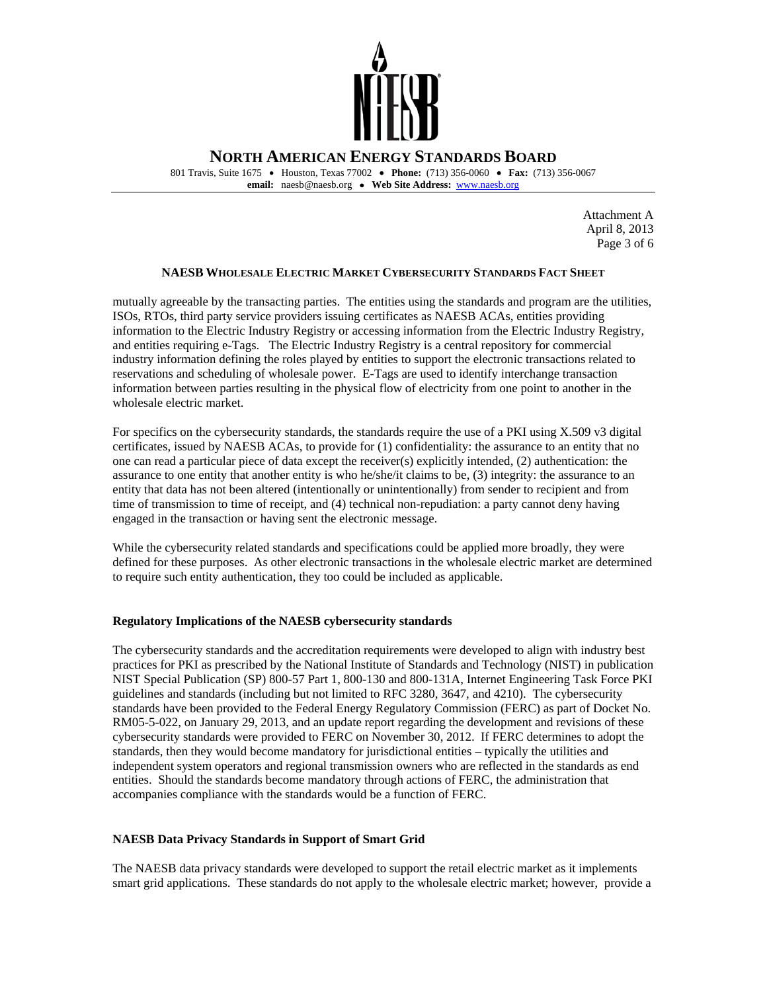

 801 Travis, Suite 1675 • Houston, Texas 77002 • **Phone:** (713) 356-0060 • **Fax:** (713) 356-0067 **email:** naesb@naesb.org • **Web Site Address:** [www.naesb.org](http://www.naesb.org/) 

> Page 3 of 6 Attachment A April 8, 2013

## **NAESB WHOLESALE ELECTRIC MARKET CYBERSECURITY STANDARDS FACT SHEET**

 mutually agreeable by the transacting parties. The entities using the standards and program are the utilities, ISOs, RTOs, third party service providers issuing certificates as NAESB ACAs, entities providing information to the Electric Industry Registry or accessing information from the Electric Industry Registry, and entities requiring e-Tags. The Electric Industry Registry is a central repository for commercial industry information defining the roles played by entities to support the electronic transactions related to reservations and scheduling of wholesale power. E-Tags are used to identify interchange transaction information between parties resulting in the physical flow of electricity from one point to another in the wholesale electric market.

 For specifics on the cybersecurity standards, the standards require the use of a PKI using X.509 v3 digital certificates, issued by NAESB ACAs, to provide for (1) confidentiality: the assurance to an entity that no one can read a particular piece of data except the receiver(s) explicitly intended, (2) authentication: the assurance to one entity that another entity is who he/she/it claims to be, (3) integrity: the assurance to an entity that data has not been altered (intentionally or unintentionally) from sender to recipient and from time of transmission to time of receipt, and (4) technical non-repudiation: a party cannot deny having engaged in the transaction or having sent the electronic message.

 While the cybersecurity related standards and specifications could be applied more broadly, they were defined for these purposes. As other electronic transactions in the wholesale electric market are determined to require such entity authentication, they too could be included as applicable.

## **Regulatory Implications of the NAESB cybersecurity standards**

 The cybersecurity standards and the accreditation requirements were developed to align with industry best practices for PKI as prescribed by the National Institute of Standards and Technology (NIST) in publication NIST Special Publication (SP) 800-57 Part 1, 800-130 and 800-131A, Internet Engineering Task Force PKI guidelines and standards (including but not limited to RFC 3280, 3647, and 4210). The cybersecurity standards have been provided to the Federal Energy Regulatory Commission (FERC) as part of Docket No. RM05-5-022, on January 29, 2013, and an update report regarding the development and revisions of these cybersecurity standards were provided to FERC on November 30, 2012. If FERC determines to adopt the standards, then they would become mandatory for jurisdictional entities – typically the utilities and independent system operators and regional transmission owners who are reflected in the standards as end entities. Should the standards become mandatory through actions of FERC, the administration that accompanies compliance with the standards would be a function of FERC.

## **NAESB Data Privacy Standards in Support of Smart Grid**

 The NAESB data privacy standards were developed to support the retail electric market as it implements smart grid applications. These standards do not apply to the wholesale electric market; however, provide a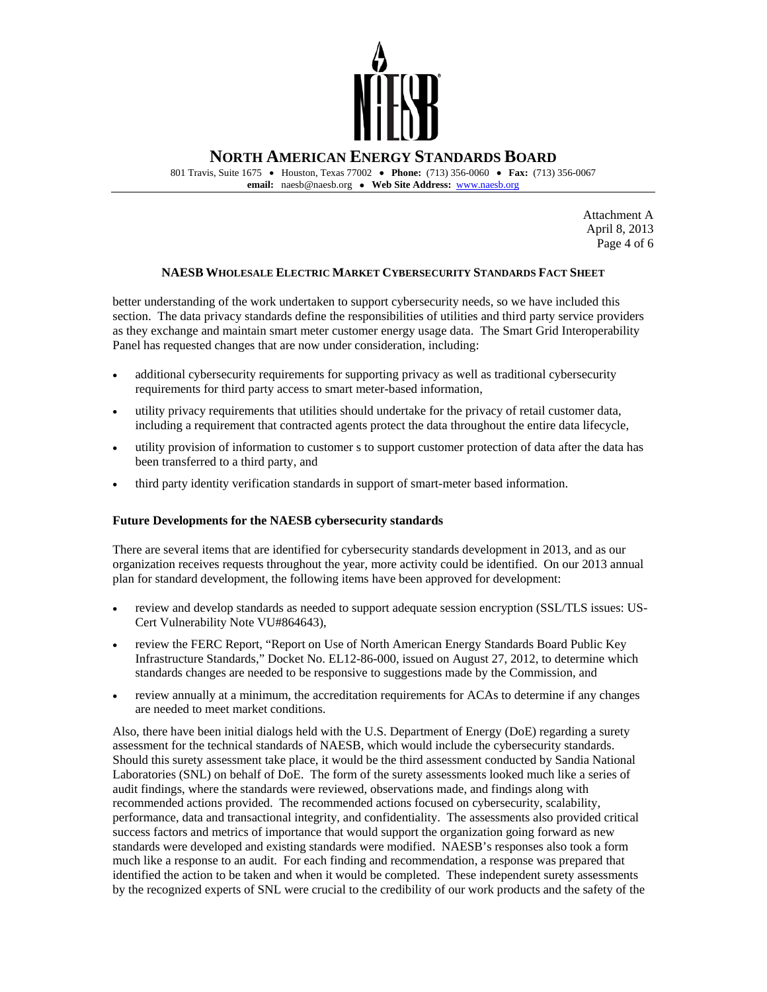

 801 Travis, Suite 1675 • Houston, Texas 77002 • **Phone:** (713) 356-0060 • **Fax:** (713) 356-0067 **email:** naesb@naesb.org • **Web Site Address:** [www.naesb.org](http://www.naesb.org/) 

> Page 4 of 6 Attachment A April 8, 2013

## **NAESB WHOLESALE ELECTRIC MARKET CYBERSECURITY STANDARDS FACT SHEET**

 better understanding of the work undertaken to support cybersecurity needs, so we have included this section. The data privacy standards define the responsibilities of utilities and third party service providers as they exchange and maintain smart meter customer energy usage data. The Smart Grid Interoperability Panel has requested changes that are now under consideration, including:

- additional cybersecurity requirements for supporting privacy as well as traditional cybersecurity requirements for third party access to smart meter-based information,
- • utility privacy requirements that utilities should undertake for the privacy of retail customer data, including a requirement that contracted agents protect the data throughout the entire data lifecycle,
- • utility provision of information to customer s to support customer protection of data after the data has been transferred to a third party, and
- • third party identity verification standards in support of smart-meter based information.

### **Future Developments for the NAESB cybersecurity standards**

 There are several items that are identified for cybersecurity standards development in 2013, and as our organization receives requests throughout the year, more activity could be identified. On our 2013 annual plan for standard development, the following items have been approved for development:

- • review and develop standards as needed to support adequate session encryption (SSL/TLS issues: US-Cert Vulnerability Note VU#864643),
- review the FERC Report, "Report on Use of North American Energy Standards Board Public Key Infrastructure Standards," Docket No. EL12-86-000, issued on August 27, 2012, to determine which standards changes are needed to be responsive to suggestions made by the Commission, and
- review annually at a minimum, the accreditation requirements for ACAs to determine if any changes are needed to meet market conditions.

 Also, there have been initial dialogs held with the U.S. Department of Energy (DoE) regarding a surety assessment for the technical standards of NAESB, which would include the cybersecurity standards. Should this surety assessment take place, it would be the third assessment conducted by Sandia National Laboratories (SNL) on behalf of DoE. The form of the surety assessments looked much like a series of audit findings, where the standards were reviewed, observations made, and findings along with recommended actions provided. The recommended actions focused on cybersecurity, scalability, performance, data and transactional integrity, and confidentiality. The assessments also provided critical success factors and metrics of importance that would support the organization going forward as new standards were developed and existing standards were modified. NAESB's responses also took a form much like a response to an audit. For each finding and recommendation, a response was prepared that identified the action to be taken and when it would be completed. These independent surety assessments by the recognized experts of SNL were crucial to the credibility of our work products and the safety of the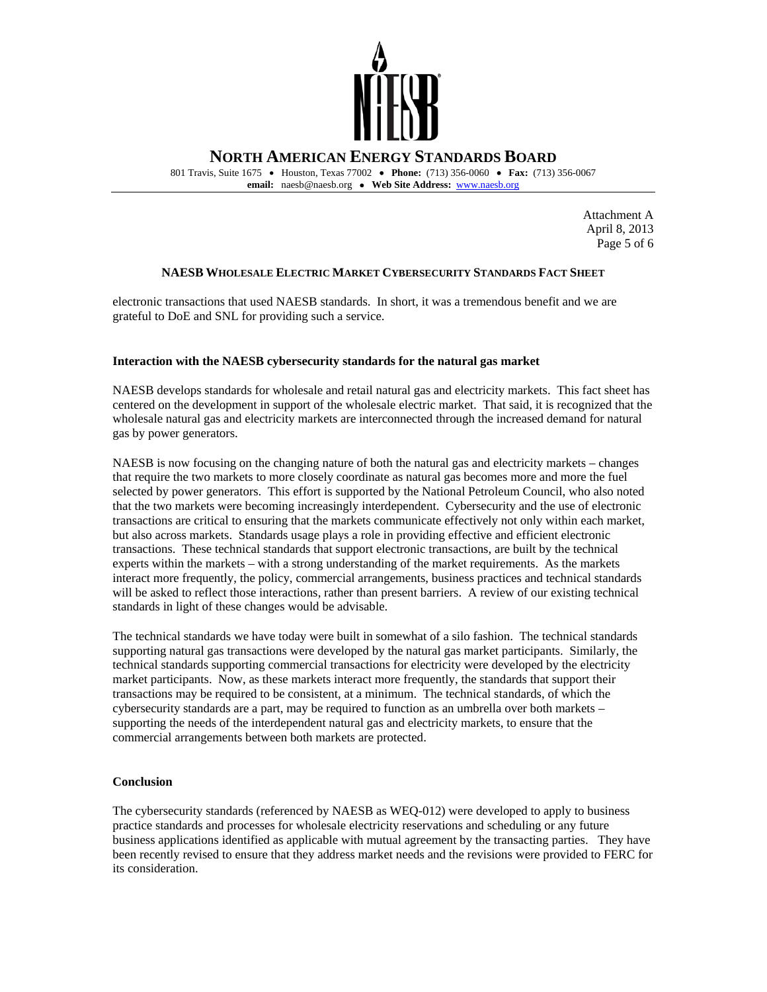

 801 Travis, Suite 1675 • Houston, Texas 77002 • **Phone:** (713) 356-0060 • **Fax:** (713) 356-0067 **email:** naesb@naesb.org • **Web Site Address:** [www.naesb.org](http://www.naesb.org/) 

> Page 5 of 6 Attachment A April 8, 2013

## **NAESB WHOLESALE ELECTRIC MARKET CYBERSECURITY STANDARDS FACT SHEET**

 electronic transactions that used NAESB standards. In short, it was a tremendous benefit and we are grateful to DoE and SNL for providing such a service.

### **Interaction with the NAESB cybersecurity standards for the natural gas market**

 NAESB develops standards for wholesale and retail natural gas and electricity markets. This fact sheet has centered on the development in support of the wholesale electric market. That said, it is recognized that the wholesale natural gas and electricity markets are interconnected through the increased demand for natural gas by power generators.

 NAESB is now focusing on the changing nature of both the natural gas and electricity markets – changes that require the two markets to more closely coordinate as natural gas becomes more and more the fuel selected by power generators. This effort is supported by the National Petroleum Council, who also noted that the two markets were becoming increasingly interdependent. Cybersecurity and the use of electronic transactions are critical to ensuring that the markets communicate effectively not only within each market, but also across markets. Standards usage plays a role in providing effective and efficient electronic transactions. These technical standards that support electronic transactions, are built by the technical experts within the markets – with a strong understanding of the market requirements. As the markets interact more frequently, the policy, commercial arrangements, business practices and technical standards will be asked to reflect those interactions, rather than present barriers. A review of our existing technical standards in light of these changes would be advisable.

 The technical standards we have today were built in somewhat of a silo fashion. The technical standards supporting natural gas transactions were developed by the natural gas market participants. Similarly, the technical standards supporting commercial transactions for electricity were developed by the electricity market participants. Now, as these markets interact more frequently, the standards that support their transactions may be required to be consistent, at a minimum. The technical standards, of which the cybersecurity standards are a part, may be required to function as an umbrella over both markets – supporting the needs of the interdependent natural gas and electricity markets, to ensure that the commercial arrangements between both markets are protected.

### **Conclusion**

 The cybersecurity standards (referenced by NAESB as WEQ-012) were developed to apply to business practice standards and processes for wholesale electricity reservations and scheduling or any future business applications identified as applicable with mutual agreement by the transacting parties. They have been recently revised to ensure that they address market needs and the revisions were provided to FERC for its consideration.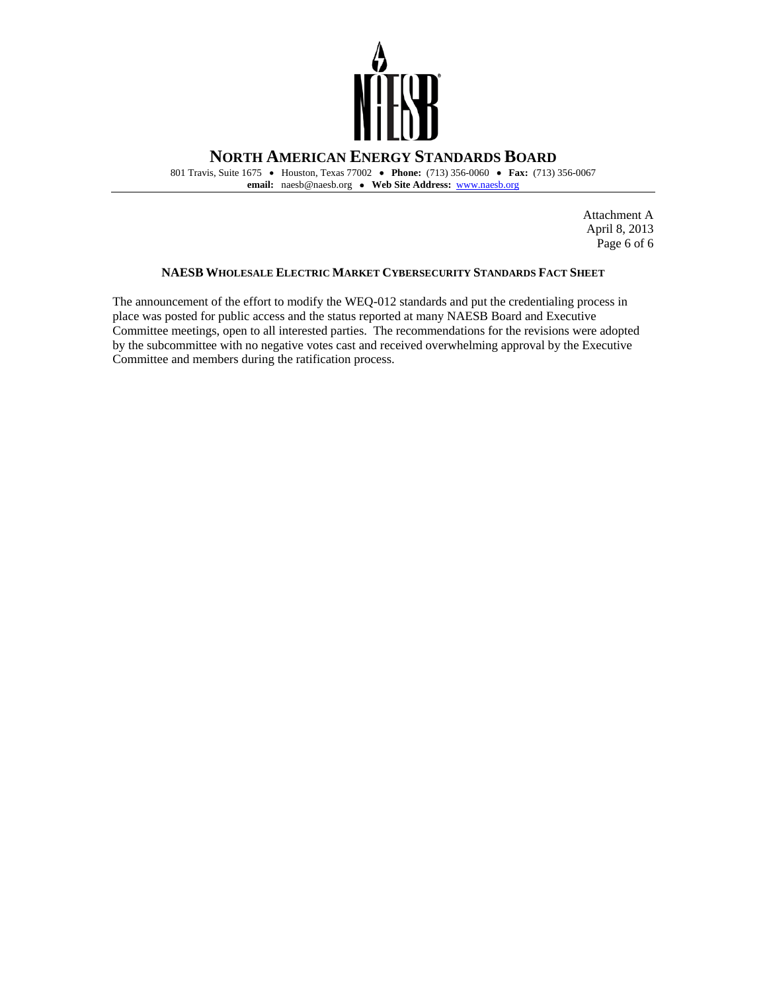

 801 Travis, Suite 1675 • Houston, Texas 77002 • **Phone:** (713) 356-0060 • **Fax:** (713) 356-0067 **email:** naesb@naesb.org • **Web Site Address:** [www.naesb.org](http://www.naesb.org/) 

> Page 6 of 6 Attachment A April 8, 2013

### **NAESB WHOLESALE ELECTRIC MARKET CYBERSECURITY STANDARDS FACT SHEET**

 The announcement of the effort to modify the WEQ-012 standards and put the credentialing process in place was posted for public access and the status reported at many NAESB Board and Executive Committee meetings, open to all interested parties. The recommendations for the revisions were adopted by the subcommittee with no negative votes cast and received overwhelming approval by the Executive Committee and members during the ratification process.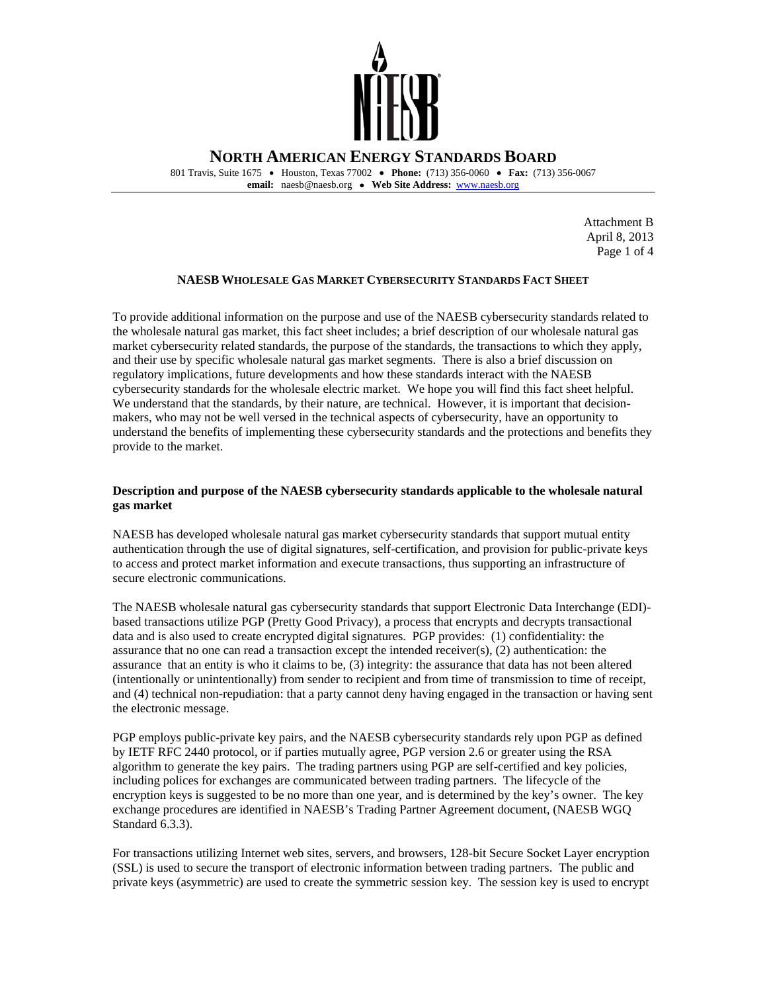

 801 Travis, Suite 1675 • Houston, Texas 77002 • **Phone:** (713) 356-0060 • **Fax:** (713) 356-0067  **email:** naesb@naesb.org • **Web Site Address:** [www.naesb.org](http://www.naesb.org/) 

> Attachment B April 8, 2013 Page 1 of 4

# **NAESB WHOLESALE GAS MARKET CYBERSECURITY STANDARDS FACT SHEET**

 To provide additional information on the purpose and use of the NAESB cybersecurity standards related to the wholesale natural gas market, this fact sheet includes; a brief description of our wholesale natural gas market cybersecurity related standards, the purpose of the standards, the transactions to which they apply, and their use by specific wholesale natural gas market segments. There is also a brief discussion on regulatory implications, future developments and how these standards interact with the NAESB cybersecurity standards for the wholesale electric market. We hope you will find this fact sheet helpful. We understand that the standards, by their nature, are technical. However, it is important that decision- makers, who may not be well versed in the technical aspects of cybersecurity, have an opportunity to understand the benefits of implementing these cybersecurity standards and the protections and benefits they provide to the market.

## **Description and purpose of the NAESB cybersecurity standards applicable to the wholesale natural gas market**

 NAESB has developed wholesale natural gas market cybersecurity standards that support mutual entity authentication through the use of digital signatures, self-certification, and provision for public-private keys to access and protect market information and execute transactions, thus supporting an infrastructure of secure electronic communications.

 The NAESB wholesale natural gas cybersecurity standards that support Electronic Data Interchange (EDI) based transactions utilize PGP (Pretty Good Privacy), a process that encrypts and decrypts transactional data and is also used to create encrypted digital signatures. PGP provides: (1) confidentiality: the assurance that no one can read a transaction except the intended receiver(s), (2) authentication: the assurance that an entity is who it claims to be, (3) integrity: the assurance that data has not been altered (intentionally or unintentionally) from sender to recipient and from time of transmission to time of receipt, and (4) technical non-repudiation: that a party cannot deny having engaged in the transaction or having sent the electronic message.

 PGP employs public-private key pairs, and the NAESB cybersecurity standards rely upon PGP as defined by IETF RFC 2440 protocol, or if parties mutually agree, PGP version 2.6 or greater using the RSA algorithm to generate the key pairs. The trading partners using PGP are self-certified and key policies, including polices for exchanges are communicated between trading partners. The lifecycle of the encryption keys is suggested to be no more than one year, and is determined by the key's owner. The key exchange procedures are identified in NAESB's Trading Partner Agreement document, (NAESB WGQ Standard 6.3.3).

 For transactions utilizing Internet web sites, servers, and browsers, 128-bit Secure Socket Layer encryption (SSL) is used to secure the transport of electronic information between trading partners. The public and private keys (asymmetric) are used to create the symmetric session key. The session key is used to encrypt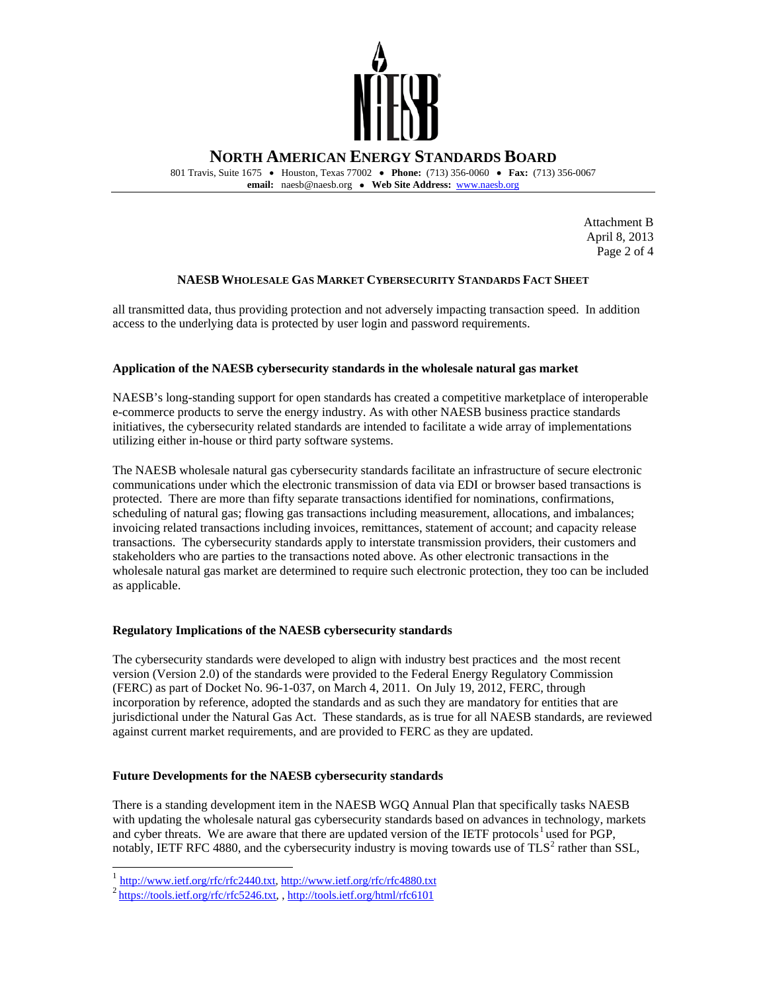

 801 Travis, Suite 1675 • Houston, Texas 77002 • **Phone:** (713) 356-0060 • **Fax:** (713) 356-0067  **email:** naesb@naesb.org • **Web Site Address:** [www.naesb.org](http://www.naesb.org/) 

> Attachment B April 8, 2013 Page 2 of 4

# **NAESB WHOLESALE GAS MARKET CYBERSECURITY STANDARDS FACT SHEET**

 all transmitted data, thus providing protection and not adversely impacting transaction speed. In addition access to the underlying data is protected by user login and password requirements.

# **Application of the NAESB cybersecurity standards in the wholesale natural gas market**

 NAESB's long-standing support for open standards has created a competitive marketplace of interoperable e-commerce products to serve the energy industry. As with other NAESB business practice standards initiatives, the cybersecurity related standards are intended to facilitate a wide array of implementations utilizing either in-house or third party software systems.

 The NAESB wholesale natural gas cybersecurity standards facilitate an infrastructure of secure electronic communications under which the electronic transmission of data via EDI or browser based transactions is protected. There are more than fifty separate transactions identified for nominations, confirmations, scheduling of natural gas; flowing gas transactions including measurement, allocations, and imbalances; invoicing related transactions including invoices, remittances, statement of account; and capacity release transactions. The cybersecurity standards apply to interstate transmission providers, their customers and stakeholders who are parties to the transactions noted above. As other electronic transactions in the wholesale natural gas market are determined to require such electronic protection, they too can be included as applicable.

# **Regulatory Implications of the NAESB cybersecurity standards**

 The cybersecurity standards were developed to align with industry best practices and the most recent version (Version 2.0) of the standards were provided to the Federal Energy Regulatory Commission (FERC) as part of Docket No. 96-1-037, on March 4, 2011. On July 19, 2012, FERC, through incorporation by reference, adopted the standards and as such they are mandatory for entities that are jurisdictional under the Natural Gas Act. These standards, as is true for all NAESB standards, are reviewed against current market requirements, and are provided to FERC as they are updated.

### **Future Developments for the NAESB cybersecurity standards**

 There is a standing development item in the NAESB WGQ Annual Plan that specifically tasks NAESB with updating the wholesale natural gas cybersecurity standards based on advances in technology, markets and cyber threats. We are aware that there are updated version of the IETF protocols<sup>[1](#page-9-0)</sup> used for PGP, notably, IETF RFC 4880, and the cybersecurity industry is moving towards use of  $TLS^2$  rather than SSL,

-

<sup>&</sup>lt;sup>1</sup> [http://www.ietf.org/rfc/rfc2440.txt,](http://www.ietf.org/rfc/rfc2440.txt) http://www.ietf.org/rfc/rfc4880.txt<br><sup>2</sup> https://tools.ietf.org/rfc/rfc5246.txt, , http://tools.ietf.org/html/rfc6101

<span id="page-9-1"></span><span id="page-9-0"></span>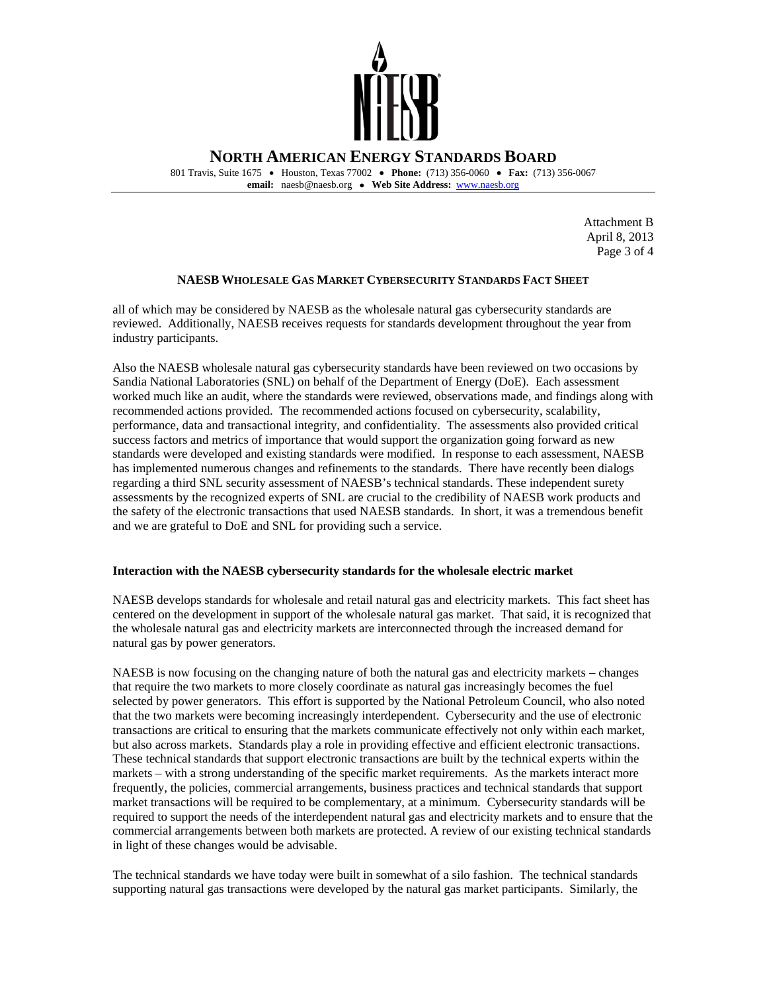

 801 Travis, Suite 1675 • Houston, Texas 77002 • **Phone:** (713) 356-0060 • **Fax:** (713) 356-0067  **email:** naesb@naesb.org • **Web Site Address:** [www.naesb.org](http://www.naesb.org/) 

> Attachment B April 8, 2013 Page 3 of 4

## **NAESB WHOLESALE GAS MARKET CYBERSECURITY STANDARDS FACT SHEET**

 all of which may be considered by NAESB as the wholesale natural gas cybersecurity standards are reviewed. Additionally, NAESB receives requests for standards development throughout the year from industry participants.

 Also the NAESB wholesale natural gas cybersecurity standards have been reviewed on two occasions by Sandia National Laboratories (SNL) on behalf of the Department of Energy (DoE). Each assessment worked much like an audit, where the standards were reviewed, observations made, and findings along with recommended actions provided. The recommended actions focused on cybersecurity, scalability, performance, data and transactional integrity, and confidentiality. The assessments also provided critical success factors and metrics of importance that would support the organization going forward as new standards were developed and existing standards were modified. In response to each assessment, NAESB has implemented numerous changes and refinements to the standards. There have recently been dialogs regarding a third SNL security assessment of NAESB's technical standards. These independent surety assessments by the recognized experts of SNL are crucial to the credibility of NAESB work products and the safety of the electronic transactions that used NAESB standards. In short, it was a tremendous benefit and we are grateful to DoE and SNL for providing such a service.

### **Interaction with the NAESB cybersecurity standards for the wholesale electric market**

 NAESB develops standards for wholesale and retail natural gas and electricity markets. This fact sheet has centered on the development in support of the wholesale natural gas market. That said, it is recognized that the wholesale natural gas and electricity markets are interconnected through the increased demand for natural gas by power generators.

 NAESB is now focusing on the changing nature of both the natural gas and electricity markets – changes that require the two markets to more closely coordinate as natural gas increasingly becomes the fuel selected by power generators. This effort is supported by the National Petroleum Council, who also noted that the two markets were becoming increasingly interdependent. Cybersecurity and the use of electronic transactions are critical to ensuring that the markets communicate effectively not only within each market, but also across markets. Standards play a role in providing effective and efficient electronic transactions. These technical standards that support electronic transactions are built by the technical experts within the markets – with a strong understanding of the specific market requirements. As the markets interact more frequently, the policies, commercial arrangements, business practices and technical standards that support market transactions will be required to be complementary, at a minimum. Cybersecurity standards will be required to support the needs of the interdependent natural gas and electricity markets and to ensure that the commercial arrangements between both markets are protected. A review of our existing technical standards in light of these changes would be advisable.

 The technical standards we have today were built in somewhat of a silo fashion. The technical standards supporting natural gas transactions were developed by the natural gas market participants. Similarly, the